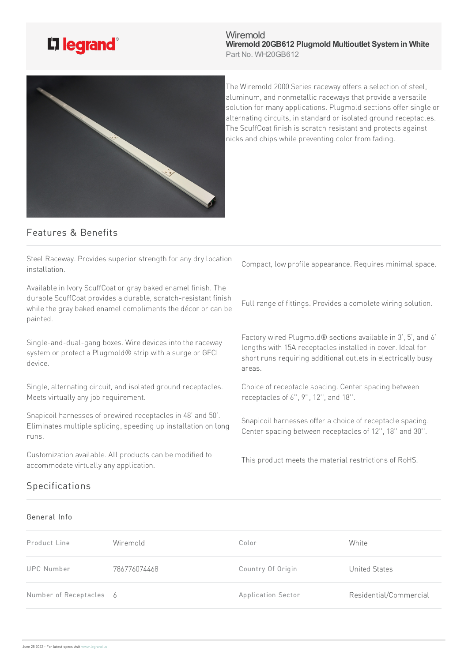

Wiremold **Wiremold 20GB612 Plugmold Multioutlet Systemin White** Part No. WH20GB612



The Wiremold 2000 Series raceway offers a selection of steel, aluminum, and nonmetallic raceways that provide a versatile solution for many applications. Plugmold sections offer single or alternating circuits, in standard or isolated ground receptacles. The ScuffCoat finish is scratch resistant and protects against nicks and chips while preventing color from fading.

## Features & Benefits

Steel Raceway. Provides superior strength for any dry location installation.

Available in Ivory ScuffCoat or gray baked enamel finish. The durable ScuffCoat provides a durable, scratch-resistant finish while the gray baked enamel compliments the décor or can be painted.

Single-and-dual-gang boxes. Wire devices into the raceway system or protect a Plugmold® strip with a surge or GFCI device.

Single, alternating circuit, and isolated ground receptacles. Meets virtually any job requirement.

Snapicoil harnesses of prewired receptacles in 48' and 50'. Eliminates multiple splicing, speeding up installation on long runs.

Customization available. All products can be modified to accommodate virtually any application.

Compact, low profile appearance. Requires minimal space.

Full range of fittings. Provides a complete wiring solution.

Factory wired Plugmold® sections available in 3', 5', and 6' lengths with 15A receptacles installed in cover. Ideal for short runs requiring additional outlets in electrically busy areas.

Choice of receptacle spacing. Center spacing between receptacles of 6", 9", 12", and 18".

Snapicoil harnesses offer a choice of receptacle spacing. Center spacing between receptacles of 12", 18" and 30".

This product meets the material restrictions of RoHS.

## Specifications

## General Info

| Product Line            | Wiremold     | Color              | White                  |
|-------------------------|--------------|--------------------|------------------------|
| <b>UPC Number</b>       | 786776074468 | Country Of Origin  | <b>United States</b>   |
| Number of Receptacles 6 |              | Application Sector | Residential/Commercial |